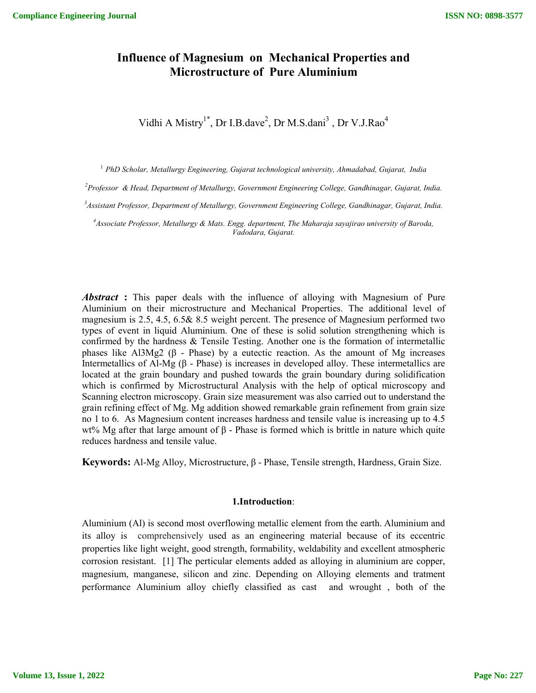# **Influence of Magnesium on Mechanical Properties and Microstructure of Pure Aluminium**

Vidhi A Mistry<sup>1\*</sup>, Dr I.B.dave<sup>2</sup>, Dr M.S.dani<sup>3</sup>, Dr V.J.Rao<sup>4</sup>

<sup>1</sup> *PhD Scholar, Metallurgy Engineering, Gujarat technological university, Ahmadabad, Gujarat, India*

*2 Professor & Head, Department of Metallurgy, Government Engineering College, Gandhinagar, Gujarat, India.*

*3 Assistant Professor, Department of Metallurgy, Government Engineering College, Gandhinagar, Gujarat, India.*

*4 Associate Professor, Metallurgy & Mats. Engg. department, The Maharaja sayajirao university of Baroda, Vadodara, Gujarat.*

*Abstract* **:** This paper deals with the influence of alloying with Magnesium of Pure Aluminium on their microstructure and Mechanical Properties. The additional level of magnesium is 2.5, 4.5, 6.5& 8.5 weight percent. The presence of Magnesium performed two types of event in liquid Aluminium. One of these is solid solution strengthening which is confirmed by the hardness & Tensile Testing. Another one is the formation of intermetallic phases like Al3Mg2 (β - Phase) by a eutectic reaction. As the amount of Mg increases Intermetallics of Al-Mg (β - Phase) is increases in developed alloy. These intermetallics are located at the grain boundary and pushed towards the grain boundary during solidification which is confirmed by Microstructural Analysis with the help of optical microscopy and Scanning electron microscopy. Grain size measurement was also carried out to understand the grain refining effect of Mg. Mg addition showed remarkable grain refinement from grain size no 1 to 6. As Magnesium content increases hardness and tensile value is increasing up to 4.5 wt% Mg after that large amount of  $\beta$  - Phase is formed which is brittle in nature which quite reduces hardness and tensile value.

**Keywords:** Al-Mg Alloy, Microstructure, β - Phase, Tensile strength, Hardness, Grain Size.

#### **1.Introduction**:

Aluminium (Al) is second most overflowing metallic element from the earth. Aluminium and its alloy is comprehensively used as an engineering material because of its eccentric properties like light weight, good strength, formability, weldability and excellent atmospheric corrosion resistant. [1] The perticular elements added as alloying in aluminium are copper, magnesium, manganese, silicon and zinc. Depending on Alloying elements and tratment performance Aluminium alloy chiefly classified as cast and wrought , both of the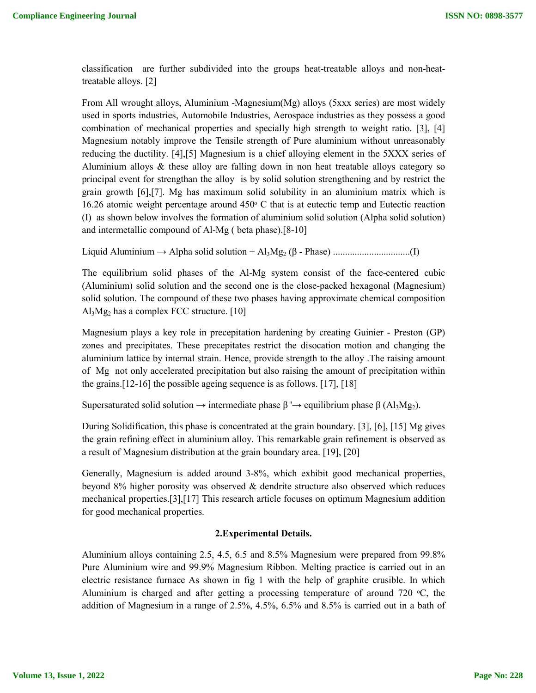classification are further subdivided into the groups heat-treatable alloys and non-heattreatable alloys. [2]

From All wrought alloys, Aluminium -Magnesium(Mg) alloys (5xxx series) are most widely used in sports industries, Automobile Industries, Aerospace industries as they possess a good combination of mechanical properties and specially high strength to weight ratio. [3], [4] Magnesium notably improve the Tensile strength of Pure aluminium without unreasonably reducing the ductility. [4],[5] Magnesium is a chief alloying element in the 5XXX series of Aluminium alloys & these alloy are falling down in non heat treatable alloys category so principal event for strengthan the alloy is by solid solution strengthening and by restrict the grain growth [6],[7]. Mg has maximum solid solubility in an aluminium matrix which is 16.26 atomic weight percentage around  $450\degree$  C that is at eutectic temp and Eutectic reaction (I) as shown below involves the formation of aluminium solid solution (Alpha solid solution) and intermetallic compound of Al-Mg ( beta phase).[8-10]

Liquid Aluminium → Alpha solid solution + Al3Mg2 (β - Phase) ................................(I)

The equilibrium solid phases of the Al-Mg system consist of the face-centered cubic (Aluminium) solid solution and the second one is the close-packed hexagonal (Magnesium) solid solution. The compound of these two phases having approximate chemical composition  $Al<sub>3</sub>Mg<sub>2</sub>$  has a complex FCC structure. [10]

Magnesium plays a key role in precepitation hardening by creating Guinier - Preston (GP) zones and precipitates. These precepitates restrict the disocation motion and changing the aluminium lattice by internal strain. Hence, provide strength to the alloy .The raising amount of Mg not only accelerated precipitation but also raising the amount of precipitation within the grains.[12-16] the possible ageing sequence is as follows. [17], [18]

Supersaturated solid solution  $\rightarrow$  intermediate phase  $\beta \rightarrow$  equilibrium phase  $\beta$  (Al<sub>3</sub>Mg<sub>2</sub>).

During Solidification, this phase is concentrated at the grain boundary. [3], [6], [15] Mg gives the grain refining effect in aluminium alloy. This remarkable grain refinement is observed as a result of Magnesium distribution at the grain boundary area. [19], [20]

Generally, Magnesium is added around 3-8%, which exhibit good mechanical properties, beyond 8% higher porosity was observed & dendrite structure also observed which reduces mechanical properties.[3],[17] This research article focuses on optimum Magnesium addition for good mechanical properties.

#### **2.Experimental Details.**

Aluminium alloys containing 2.5, 4.5, 6.5 and 8.5% Magnesium were prepared from 99.8% Pure Aluminium wire and 99.9% Magnesium Ribbon. Melting practice is carried out in an electric resistance furnace As shown in fig 1 with the help of graphite crusible. In which Aluminium is charged and after getting a processing temperature of around 720  $\degree$ C, the addition of Magnesium in a range of 2.5%, 4.5%, 6.5% and 8.5% is carried out in a bath of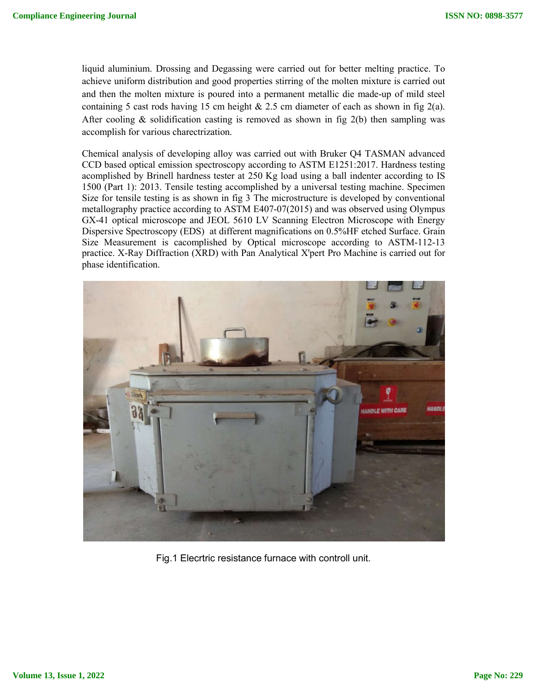liquid aluminium. Drossing and Degassing were carried out for better melting practice. To achieve uniform distribution and good properties stirring of the molten mixture is carried out and then the molten mixture is poured into a permanent metallic die made-up of mild steel containing 5 cast rods having 15 cm height  $& 2.5$  cm diameter of each as shown in fig 2(a). After cooling & solidification casting is removed as shown in fig  $2(b)$  then sampling was accomplish for various charectrization.

Chemical analysis of developing alloy was carried out with Bruker Q4 TASMAN advanced CCD based optical emission spectroscopy according to ASTM E1251:2017. Hardness testing acomplished by Brinell hardness tester at 250 Kg load using a ball indenter according to IS 1500 (Part 1): 2013. Tensile testing accomplished by a universal testing machine. Specimen Size for tensile testing is as shown in fig 3 The microstructure is developed by conventional metallography practice according to ASTM E407-07(2015) and was observed using Olympus GX-41 optical microscope and JEOL 5610 LV Scanning Electron Microscope with Energy Dispersive Spectroscopy (EDS) at different magnifications on 0.5%HF etched Surface. Grain Size Measurement is cacomplished by Optical microscope according to ASTM-112-13 practice. X-Ray Diffraction (XRD) with Pan Analytical X'pert Pro Machine is carried out for phase identification.



Fig.1 Elecrtric resistance furnace with controll unit.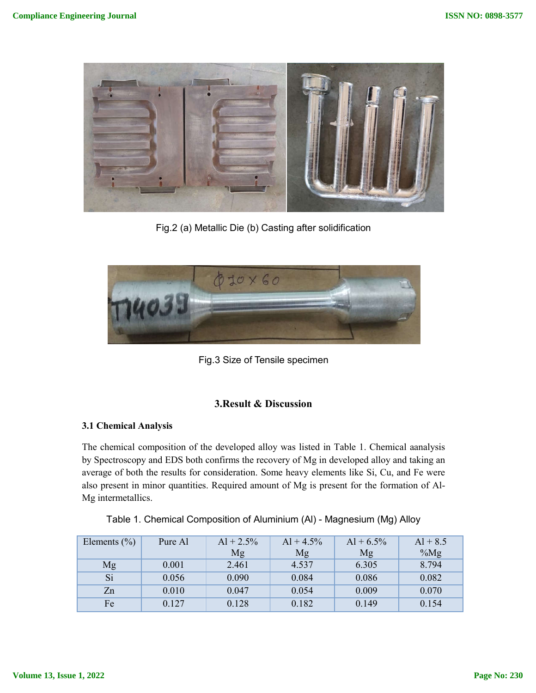

Fig.2 (a) Metallic Die (b) Casting after solidification



Fig.3 Size of Tensile specimen

# **3.Result & Discussion**

## **3.1 Chemical Analysis**

The chemical composition of the developed alloy was listed in Table 1. Chemical aanalysis by Spectroscopy and EDS both confirms the recovery of Mg in developed alloy and taking an average of both the results for consideration. Some heavy elements like Si, Cu, and Fe were also present in minor quantities. Required amount of Mg is present for the formation of Al-Mg intermetallics.

| Elements $(\% )$ | Pure Al | $Al + 2.5\%$<br>Mg | $Al + 4.5\%$<br>Mg | $Al + 6.5\%$<br>Mg | $Al + 8.5$<br>$\%Mg$ |
|------------------|---------|--------------------|--------------------|--------------------|----------------------|
| Mg               | 0.001   | 2.461              | 4.537              | 6.305              | 8.794                |
| Si               | 0.056   | 0.090              | 0.084              | 0.086              | 0.082                |
| Zn               | 0.010   | 0.047              | 0.054              | 0.009              | 0.070                |
| Fe               | 0.127   | 0.128              | 0.182              | 0.149              | 0.154                |

Table 1. Chemical Composition of Aluminium (Al) - Magnesium (Mg) Alloy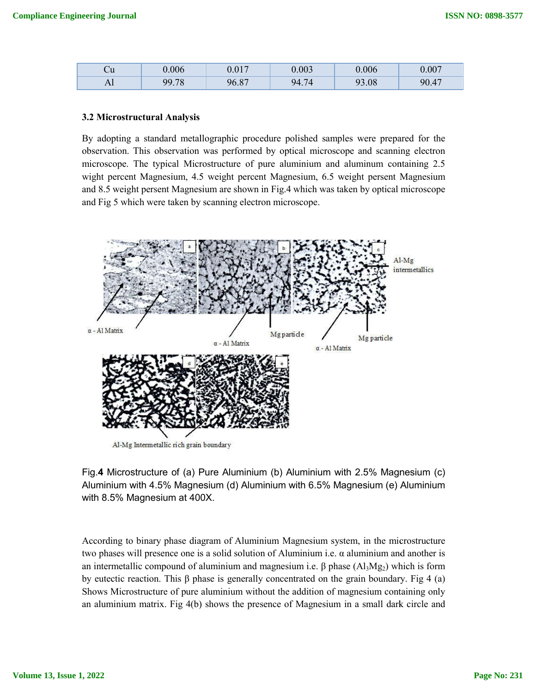| ∪u               | 0.006       | 0.017<br>U.VI.          | 0.003            | 0.006                   | 0.007 |
|------------------|-------------|-------------------------|------------------|-------------------------|-------|
| $1 \, \text{II}$ | 70<br>99.78 | O <sub>7</sub><br>96.8. | 94<br>7∠<br>T. 1 | 93.08<br>Q <sub>2</sub> | 90.47 |

#### **3.2 Microstructural Analysis**

By adopting a standard metallographic procedure polished samples were prepared for the observation. This observation was performed by optical microscope and scanning electron microscope. The typical Microstructure of pure aluminium and aluminum containing wight percent Magnesium, 4.5 5 weight percent Magnesium, 6.5 weight persent M Magnesium and 8.5 weight persent Magnesium are shown in Fig.4 which was taken by optical microscope and Fig 5 which were taken by scanning electron microscope. By adopting a standard metallographic procedure polished samples were prepared for the observation. This observation was performed by optical microscope and scanning electron microscope. The typical Microstructure of pure



Fig.**4** Microstructure of (a) Pure Aluminium (b) Aluminium with 2.5% Magnesium (c) Aluminium with 4.5% Magnesium (d) Aluminium with 6.5% Magnesium (e) Aluminium with 8.5% Magnesium at 400X.

According to binary phase diagram of Aluminium Magnesium system, in the microstructure two phases will presence one is a solid solution of Aluminium i.e. α aluminium and another is an intermetallic compound of aluminium and magnesium i.e.  $\beta$  phase (Al<sub>3</sub>Mg<sub>2</sub>) which is form by eutectic reaction. This  $\beta$  phase is generally concentrated on the grain boundary. Fig Shows Microstructure of pure aluminium without the addition of magnesium containing only an aluminium matrix. Fig 4(b) shows the presence of Magnesium in a small dark circle and esium system, in the microstructure<br>ium i.e.  $\alpha$  aluminium and another is<br>i.e.  $\beta$  phase (Al<sub>3</sub>Mg<sub>2</sub>) which is form<br>ed on the grain boundary. Fig 4 (a)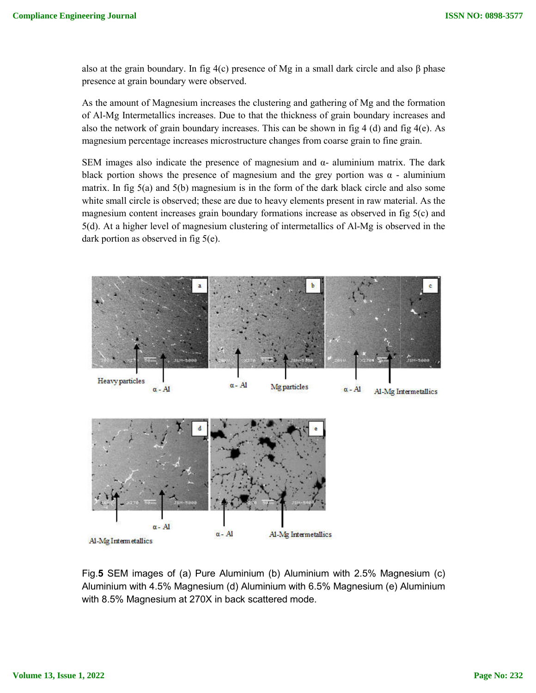also at the grain boundary. In fig  $4(c)$  presence of Mg in a small dark circle and also  $\beta$  phase presence at grain boundary were observed. also at the grain boundary. In fig  $4(c)$  presence of Mg in a small dark circle and also  $\beta$  phase<br>presence at grain boundary were observed.<br>As the amount of Magnesium increases the clustering and gathering of Mg and the

of Al-Mg Intermetallics increases. Due to that the thickness of grain b boundary increases and of Al-Mg Intermetallics increases. Due to that the thickness of grain boundary increases and also the network of grain boundary increases. This can be shown in fig 4 (d) and fig 4(e). As magnesium percentage increases microstructure changes from coarse grain to fine grain grain.

SEM images also indicate the presence of magnesium and  $\alpha$ - aluminium matrix. The dark black portion shows the presence of magnesium and the grey portion was  $\alpha$  - aluminium matrix. In fig  $5(a)$  and  $5(b)$  magnesium is in the form of the dark black circle and also some white small circle is observed; these are due to heavy elements present in raw material. As the white small circle is observed; these are due to heavy elements present in raw material. As the magnesium content increases grain boundary formations increase as observed in fig 5(c) and matrix. In fig 5(a) and 5(b) magnesium is in the form of the dark black circle and also some white small circle is observed; these are due to heavy elements present in raw material. As the magnesium content increases grain dark portion as observed in fig 5(e).



Fig.**5** SEM images of (a) Pure Aluminium (b) Aluminium with 2.5% Magnesium (c) Aluminium with 4.5% Magnesium (d) Aluminium with 6.5% Magnesium (e) Aluminium with 8.5% Magnesium at 270X in back scattered mode.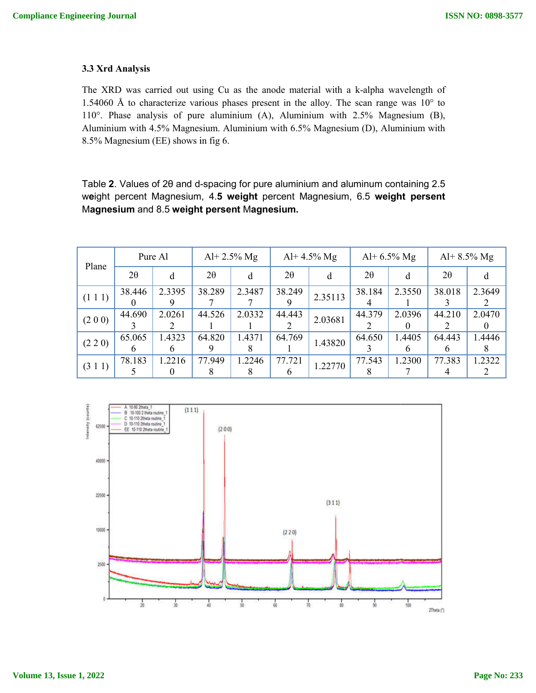#### **3.3 Xrd Analysis**

The XRD was carried out using Cu as the anode material with a k k-alpha wavelength of 1.54060 Å to characterize various phases present in the alloy. The scan range was  $10^{\circ}$  to 110°. Phase analysis of pure aluminium (A), Aluminium with 2.5% Magnesium (B), Aluminium with 4.5% Magnesium. Aluminium with 6.5% Magnesium (D), Aluminium with 8.5% Magnesium (EE) shows in fig 6. arried out using Cu as the anode material with a k-alpha waveler<br>aracterize various phases present in the alloy. The scan range was<br>lysis of pure aluminium (A), Aluminium with 2.5% Magnesium<br>4.5% Magnesium. Aluminium with

Table 2. Values of 2θ and d-spacing for pure aluminium and aluminum containing 2.5 w**e**ight percent Magnesium, 4. **5 weight** percent Magnesium, 6.5 **weight persent weight** M**agnesium** and 8.5 **weight persent** M**agnesium.**

| Plane   | Pure Al   |        | Al+ $2.5\%$ Mg |        | Al+ $4.5\%$ Mg         |         | Al+ $6.5\%$ Mg |             | Al+ $8.5\%$ Mg |        |
|---------|-----------|--------|----------------|--------|------------------------|---------|----------------|-------------|----------------|--------|
|         | $2\theta$ | d      | $2\theta$      | d      | $2\theta$              | d       | $2\theta$      | d           | $2\theta$      |        |
| (111)   | 38.446    | 2.3395 | 38.289         | 2.3487 | 38.249                 | 2.35113 | 38.184         | 2.3550      | 38.018         | 2.3649 |
| (200)   | 44.690    | 2.0261 | 44.526         | 2.0332 | 44.443                 | 2.03681 | 44.379         | 2.0396      | 44.210         | 2.0470 |
| (2 2 0) | 65.065    | 1.4323 | 64.820         | 1.4371 | 64.769                 | 1.43820 | 64.650         | 1.4405<br>h | 64.443<br>h    | 1.4446 |
| (3 1 1) | 78.183    | .2216  | 77.949         | .2246  | 77.721<br><sub>t</sub> | 1.22770 | 77.543         | 1.2300      | 77.383         | 1.2322 |

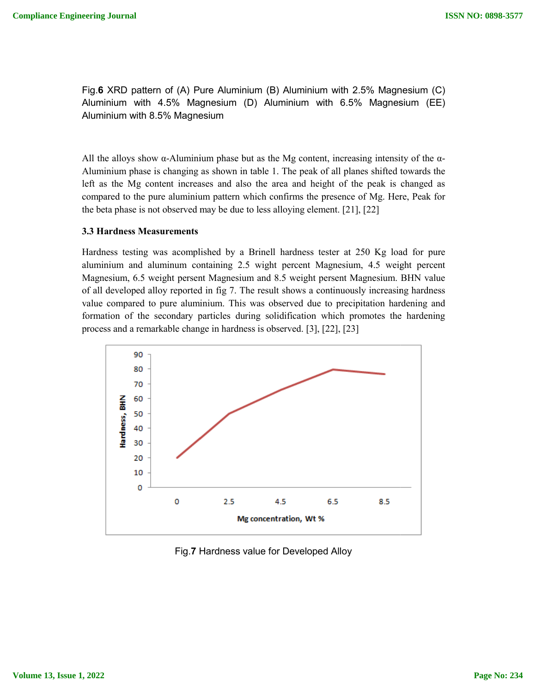Fig.**6** XRD pattern of (A) Pure Aluminium (B) Aluminium with 2.5% Magnesium (C) Fig.**6** XRD pattern of (A) Pure Aluminium (B) Aluminium with 2.5% Magnesium (C)<br>Aluminium with 4.5% Magnesium (D) Aluminium with 6.5% Magnesium (EE) Aluminium with 8.5% Magnesium

All the alloys show  $\alpha$ -Aluminium phase but as the Mg content, increasing intensity of the  $\alpha$ -Aluminium phase is changing as shown in table 1. The peak of all planes shifted towards the left as the Mg content increases and also the area and height of the peak is changed as compared to the pure aluminium pattern which confirms the presence of Mg. Here, Peak for the beta phase is not observed may be due to less alloying element. [21 Aluminium phase but as the Mg content, increasing in<br>hanging as shown in table 1. The peak of all planes sh<br>t increases and also the area and height of the pea<br>aluminium pattern which confirms the presence of Mg<br>oserved ma ium phase is changing as shown in table 1. The peak of all planes shifted towards the<br>the Mg content increases and also the area and height of the peak is changed as<br>ed to the pure aluminium pattern which confirms the pres

#### **3.3 Hardness Measurements**

Hardness testing was acomplished by a Brinell hardness tester at 250 Kg load for pure aluminium and aluminum containing 2.5 wight percent Magnesium, 4.5 weight Magnesium, 6.5 weight persent Magnesium and 8.5 weight persent Magnesium. BHN value of all developed alloy reported in fi fig 7. The result shows a continuously increasing hardness value compared to pure aluminium. This was observed due to precipitation hardening and formation of the secondary particles during solidification which promotes the hardening process and a remarkable change in hardness is observed. [3 [3], [22], [23] **Compliance Engineering Journal**<br> **Eig.6 XRD pattern of (A) Pure Aluminium (B) Aluminium with 2.5% Magnesia<br>
Aluminium with 4.5% Magnesium (D) Aluminium with 6.5% Magnesiu<br>
All the alloys show**  $\alpha$ **-Aluminium phase but as t** 



Fig.**7** Hardness value for Developed Alloy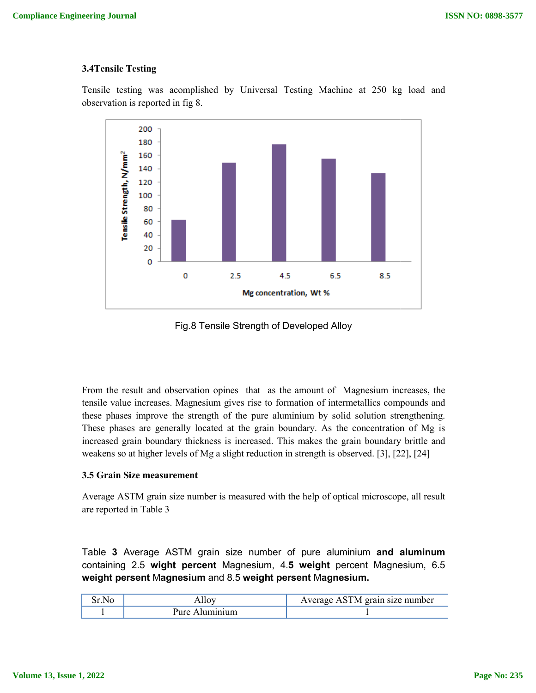### **3.4Tensile Testing**

Tensile testing was acomplished by Universal Testing Machine at 250 kg load and observation is reported in fig 8 8.



Fig.8 Tensile Strength of Developed Alloy

From the result and observation opines that as the amount of Magnesium increases, the tensile value increases. Magnesium gives rise to formation of intermetallics compounds and these phases improve the strength of the pure aluminium by solid solution strengthening. These phases are generally located at the grain boundary. As the concentration of Mg is increased grain boundary thickness is increased. This makes the grain boundary brittle and weakens so at higher levels of Mg a slight reduction in strength is observed. [3], [22

### **3.5 Grain Size measurement**

Average ASTM grain size number is measured with the help of optical microscope, all result are reported in Table 3

Table **3** Average ASTM grain size number of pure aluminium **and aluminum**  containing 2.5 **wight percent**  Magnesium, 4.**5 weight** percent Magnesium, 6.5 **weight persent** M**agnesium** and 8.5 **weight persent** M**agnesium.**

| N(t)<br>. . | THE. | erain size number<br>IVI.<br>ve.<br>$\mathbf{A}$ . |
|-------------|------|----------------------------------------------------|
|             | Anre |                                                    |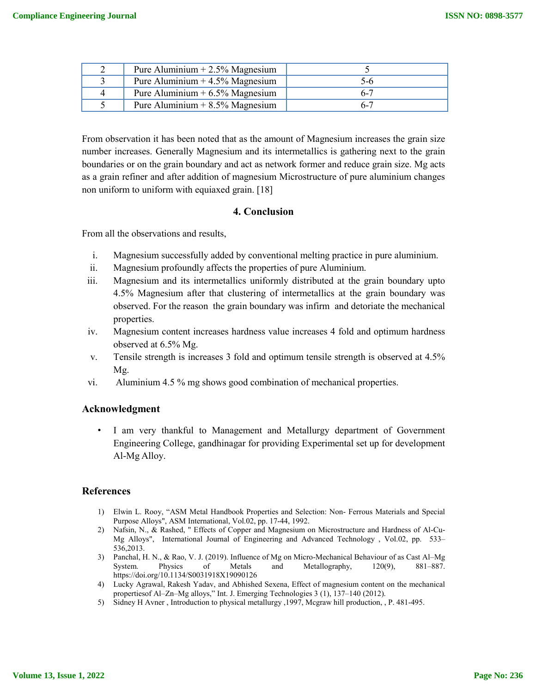|   | Pure Aluminium $+ 2.5\%$ Magnesium |         |
|---|------------------------------------|---------|
|   | Pure Aluminium $+4.5\%$ Magnesium  | ጎ-ሰ     |
| 4 | Pure Aluminium $+ 6.5\%$ Magnesium | 6-7     |
|   | Pure Aluminium $+8.5\%$ Magnesium  | $6 - 7$ |

From observation it has been noted that as the amount of Magnesium increases the grain size number increases. Generally Magnesium and its intermetallics is gathering next to the grain boundaries or on the grain boundary and act as network former and reduce grain size. Mg acts as a grain refiner and after addition of magnesium Microstructure of pure aluminium changes non uniform to uniform with equiaxed grain. [18]

## **4. Conclusion**

From all the observations and results,

- i. Magnesium successfully added by conventional melting practice in pure aluminium.
- ii. Magnesium profoundly affects the properties of pure Aluminium.
- iii. Magnesium and its intermetallics uniformly distributed at the grain boundary upto 4.5% Magnesium after that clustering of intermetallics at the grain boundary was observed. For the reason the grain boundary was infirm and detoriate the mechanical properties.
- iv. Magnesium content increases hardness value increases 4 fold and optimum hardness observed at 6.5% Mg.
- v. Tensile strength is increases 3 fold and optimum tensile strength is observed at 4.5% Mg.
- vi. Aluminium 4.5 % mg shows good combination of mechanical properties.

### **Acknowledgment**

I am very thankful to Management and Metallurgy department of Government Engineering College, gandhinagar for providing Experimental set up for development Al-Mg Alloy.

### **References**

- 1) Elwin L. Rooy, "ASM Metal Handbook Properties and Selection: Non- Ferrous Materials and Special Purpose Alloys", ASM International, Vol.02, pp. 17-44, 1992.
- 2) Nafsin, N., & Rashed, " Effects of Copper and Magnesium on Microstructure and Hardness of Al-Cu-Mg Alloys", International Journal of Engineering and Advanced Technology , Vol.02, pp. 533– 536,2013.
- 3) Panchal, H. N., & Rao, V. J. (2019). Influence of Mg on Micro-Mechanical Behaviour of as Cast Al–Mg System. Physics of Metals and Metallography, 120(9), 881–887. https://doi.org/10.1134/S0031918X19090126
- 4) Lucky Agrawal, Rakesh Yadav, and Abhished Sexena, Effect of magnesium content on the mechanical propertiesof Al–Zn–Mg alloys," Int. J. Emerging Technologies 3 (1), 137–140 (2012).
- 5) Sidney H Avner , Introduction to physical metallurgy ,1997, Mcgraw hill production, , P. 481-495.